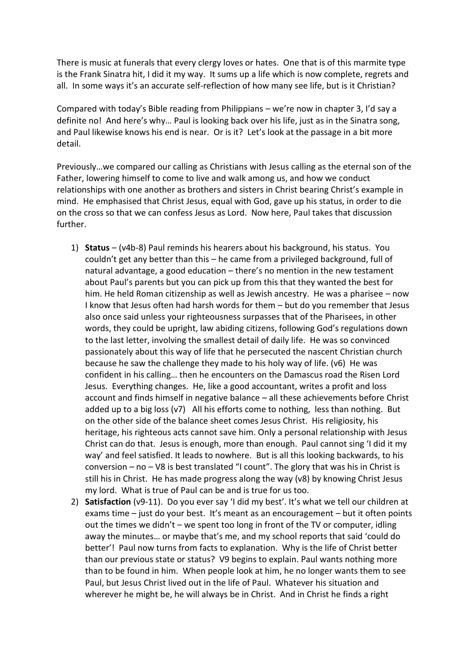There is music at funerals that every clergy loves or hates. One that is of this marmite type is the Frank Sinatra hit, I did it my way. It sums up a life which is now complete, regrets and all. In some ways it's an accurate self-reflection of how many see life, but is it Christian?

Compared with today's Bible reading from Philippians – we're now in chapter 3, I'd say a definite no! And here's why… Paul is looking back over his life, just as in the Sinatra song, and Paul likewise knows his end is near. Or is it? Let's look at the passage in a bit more detail.

Previously…we compared our calling as Christians with Jesus calling as the eternal son of the Father, lowering himself to come to live and walk among us, and how we conduct relationships with one another as brothers and sisters in Christ bearing Christ's example in mind. He emphasised that Christ Jesus, equal with God, gave up his status, in order to die on the cross so that we can confess Jesus as Lord. Now here, Paul takes that discussion further.

- 1) **Status** (v4b-8) Paul reminds his hearers about his background, his status. You couldn't get any better than this – he came from a privileged background, full of natural advantage, a good education – there's no mention in the new testament about Paul's parents but you can pick up from this that they wanted the best for him. He held Roman citizenship as well as Jewish ancestry. He was a pharisee – now I know that Jesus often had harsh words for them – but do you remember that Jesus also once said unless your righteousness surpasses that of the Pharisees, in other words, they could be upright, law abiding citizens, following God's regulations down to the last letter, involving the smallest detail of daily life. He was so convinced passionately about this way of life that he persecuted the nascent Christian church because he saw the challenge they made to his holy way of life. (v6) He was confident in his calling… then he encounters on the Damascus road the Risen Lord Jesus. Everything changes. He, like a good accountant, writes a profit and loss account and finds himself in negative balance – all these achievements before Christ added up to a big loss (v7) All his efforts come to nothing, less than nothing. But on the other side of the balance sheet comes Jesus Christ. His religiosity, his heritage, his righteous acts cannot save him. Only a personal relationship with Jesus Christ can do that. Jesus is enough, more than enough. Paul cannot sing 'I did it my way' and feel satisfied. It leads to nowhere. But is all this looking backwards, to his conversion – no – V8 is best translated "I count". The glory that was his in Christ is still his in Christ. He has made progress along the way (v8) by knowing Christ Jesus my lord. What is true of Paul can be and is true for us too.
- 2) **Satisfaction** (v9-11). Do you ever say 'I did my best'. It's what we tell our children at exams time – just do your best. It's meant as an encouragement – but it often points out the times we didn't – we spent too long in front of the TV or computer, idling away the minutes… or maybe that's me, and my school reports that said 'could do better'! Paul now turns from facts to explanation. Why is the life of Christ better than our previous state or status? V9 begins to explain. Paul wants nothing more than to be found in him. When people look at him, he no longer wants them to see Paul, but Jesus Christ lived out in the life of Paul. Whatever his situation and wherever he might be, he will always be in Christ. And in Christ he finds a right